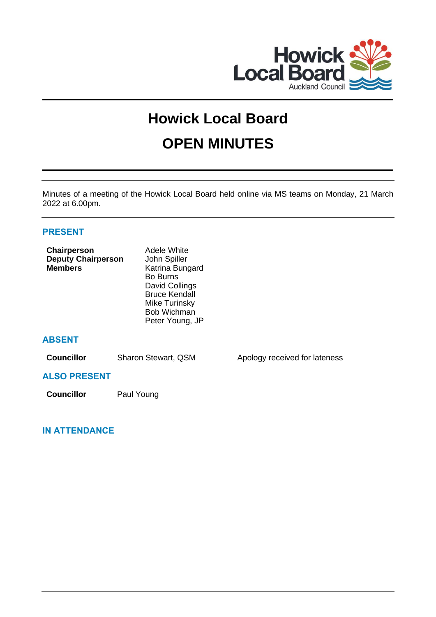

# **Howick Local Board OPEN MINUTES**

Minutes of a meeting of the Howick Local Board held online via MS teams on Monday, 21 March 2022 at 6.00pm.

# **PRESENT**

| Chairperson<br><b>Deputy Chairperson</b><br><b>Members</b> | Adele White<br>John Spiller<br>Katrina Bungard<br>Bo Burns<br>David Collings<br><b>Bruce Kendall</b><br>Mike Turinsky<br><b>Bob Wichman</b><br>Peter Young, JP |                               |
|------------------------------------------------------------|----------------------------------------------------------------------------------------------------------------------------------------------------------------|-------------------------------|
| <b>ABSENT</b>                                              |                                                                                                                                                                |                               |
| <b>Councillor</b>                                          | Sharon Stewart, QSM                                                                                                                                            | Apology received for lateness |
| <b>ALSO PRESENT</b>                                        |                                                                                                                                                                |                               |
| <b>Councillor</b>                                          | Paul Young                                                                                                                                                     |                               |

# **IN ATTENDANCE**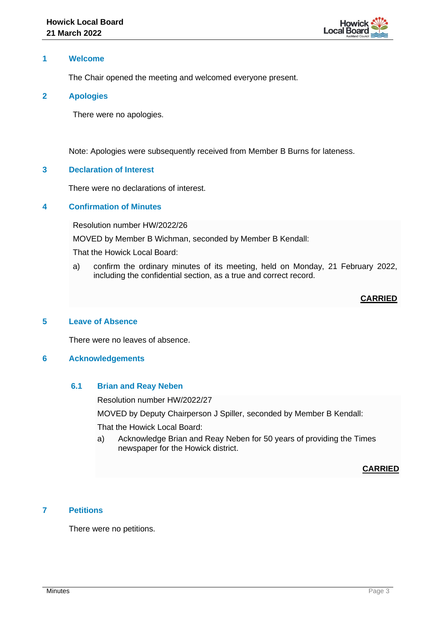

## **1 Welcome**

The Chair opened the meeting and welcomed everyone present.

#### **2 Apologies**

There were no apologies.

Note: Apologies were subsequently received from Member B Burns for lateness.

## **3 Declaration of Interest**

There were no declarations of interest.

# **4 Confirmation of Minutes**

Resolution number HW/2022/26

MOVED by Member B Wichman, seconded by Member B Kendall:

That the Howick Local Board:

a) confirm the ordinary minutes of its meeting, held on Monday, 21 February 2022, including the confidential section, as a true and correct record.

# **CARRIED**

#### **5 Leave of Absence**

There were no leaves of absence.

#### **6 Acknowledgements**

#### **6.1 Brian and Reay Neben**

Resolution number HW/2022/27

MOVED by Deputy Chairperson J Spiller, seconded by Member B Kendall:

That the Howick Local Board:

a) Acknowledge Brian and Reay Neben for 50 years of providing the Times newspaper for the Howick district.

# **CARRIED**

# **7 Petitions**

There were no petitions.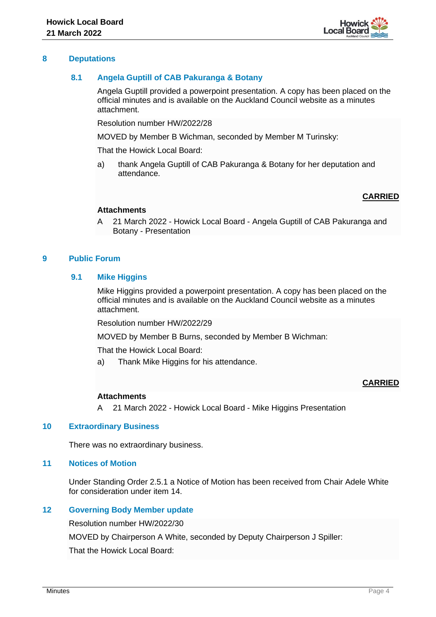

## **8 Deputations**

# **8.1 Angela Guptill of CAB Pakuranga & Botany**

Angela Guptill provided a powerpoint presentation. A copy has been placed on the official minutes and is available on the Auckland Council website as a minutes attachment.

Resolution number HW/2022/28

MOVED by Member B Wichman, seconded by Member M Turinsky:

That the Howick Local Board:

a) thank Angela Guptill of CAB Pakuranga & Botany for her deputation and attendance.

## **CARRIED**

#### **Attachments**

A 21 March 2022 - Howick Local Board - Angela Guptill of CAB Pakuranga and Botany - Presentation

## **9 Public Forum**

## **9.1 Mike Higgins**

Mike Higgins provided a powerpoint presentation. A copy has been placed on the official minutes and is available on the Auckland Council website as a minutes attachment.

Resolution number HW/2022/29

MOVED by Member B Burns, seconded by Member B Wichman:

That the Howick Local Board:

a) Thank Mike Higgins for his attendance.

# **CARRIED**

#### **Attachments**

A 21 March 2022 - Howick Local Board - Mike Higgins Presentation

#### **10 Extraordinary Business**

There was no extraordinary business.

# **11 Notices of Motion**

Under Standing Order 2.5.1 a Notice of Motion has been received from Chair Adele White for consideration under item 14.

# **12 Governing Body Member update**

Resolution number HW/2022/30

MOVED by Chairperson A White, seconded by Deputy Chairperson J Spiller:

That the Howick Local Board: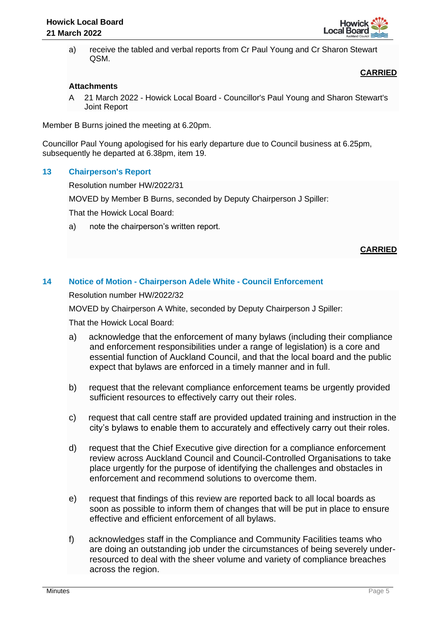

a) receive the tabled and verbal reports from Cr Paul Young and Cr Sharon Stewart QSM.

# **CARRIED**

# **Attachments**

A 21 March 2022 - Howick Local Board - Councillor's Paul Young and Sharon Stewart's Joint Report

Member B Burns joined the meeting at 6.20pm.

Councillor Paul Young apologised for his early departure due to Council business at 6.25pm, subsequently he departed at 6.38pm, item 19.

## **13 Chairperson's Report**

Resolution number HW/2022/31

MOVED by Member B Burns, seconded by Deputy Chairperson J Spiller:

That the Howick Local Board:

a) note the chairperson's written report.

# **CARRIED**

# **14 Notice of Motion - Chairperson Adele White - Council Enforcement**

Resolution number HW/2022/32

MOVED by Chairperson A White, seconded by Deputy Chairperson J Spiller:

That the Howick Local Board:

- a) acknowledge that the enforcement of many bylaws (including their compliance and enforcement responsibilities under a range of legislation) is a core and essential function of Auckland Council, and that the local board and the public expect that bylaws are enforced in a timely manner and in full.
- b) request that the relevant compliance enforcement teams be urgently provided sufficient resources to effectively carry out their roles.
- c) request that call centre staff are provided updated training and instruction in the city's bylaws to enable them to accurately and effectively carry out their roles.
- d) request that the Chief Executive give direction for a compliance enforcement review across Auckland Council and Council-Controlled Organisations to take place urgently for the purpose of identifying the challenges and obstacles in enforcement and recommend solutions to overcome them.
- e) request that findings of this review are reported back to all local boards as soon as possible to inform them of changes that will be put in place to ensure effective and efficient enforcement of all bylaws.
- f) acknowledges staff in the Compliance and Community Facilities teams who are doing an outstanding job under the circumstances of being severely underresourced to deal with the sheer volume and variety of compliance breaches across the region.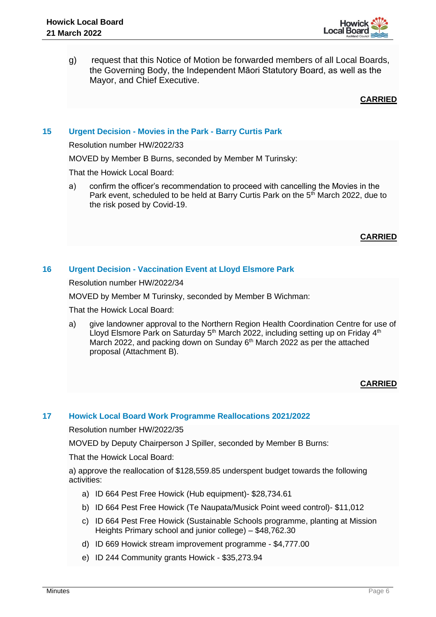

g) request that this Notice of Motion be forwarded members of all Local Boards, the Governing Body, the Independent Māori Statutory Board, as well as the Mayor, and Chief Executive.

## **CARRIED**

# **15 Urgent Decision - Movies in the Park - Barry Curtis Park**

Resolution number HW/2022/33

MOVED by Member B Burns, seconded by Member M Turinsky:

That the Howick Local Board:

a) confirm the officer's recommendation to proceed with cancelling the Movies in the Park event, scheduled to be held at Barry Curtis Park on the  $5<sup>th</sup>$  March 2022, due to the risk posed by Covid-19.

## **CARRIED**

# **16 Urgent Decision - Vaccination Event at Lloyd Elsmore Park**

Resolution number HW/2022/34

MOVED by Member M Turinsky, seconded by Member B Wichman:

That the Howick Local Board:

a) give landowner approval to the Northern Region Health Coordination Centre for use of Lloyd Elsmore Park on Saturday  $5<sup>th</sup>$  March 2022, including setting up on Friday  $4<sup>th</sup>$ March 2022, and packing down on Sunday 6<sup>th</sup> March 2022 as per the attached proposal (Attachment B).

# **CARRIED**

#### **17 Howick Local Board Work Programme Reallocations 2021/2022**

Resolution number HW/2022/35

MOVED by Deputy Chairperson J Spiller, seconded by Member B Burns:

That the Howick Local Board:

a) approve the reallocation of \$128,559.85 underspent budget towards the following activities:

- a) ID 664 Pest Free Howick (Hub equipment)- \$28,734.61
- b) ID 664 Pest Free Howick (Te Naupata/Musick Point weed control)- \$11,012
- c) ID 664 Pest Free Howick (Sustainable Schools programme, planting at Mission Heights Primary school and junior college) – \$48,762.30
- d) ID 669 Howick stream improvement programme \$4,777.00
- e) ID 244 Community grants Howick \$35,273.94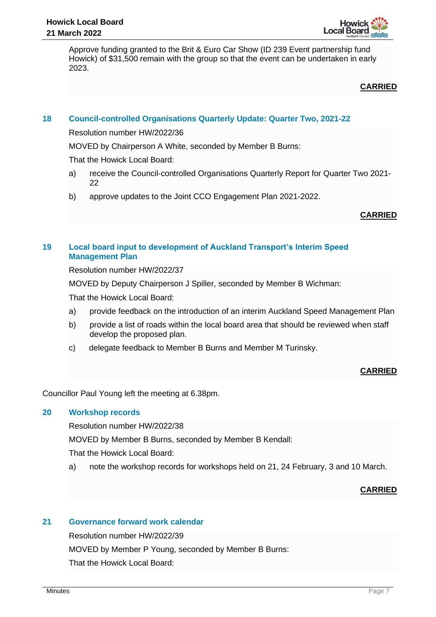

Approve funding granted to the Brit & Euro Car Show (ID 239 Event partnership fund Howick) of \$31,500 remain with the group so that the event can be undertaken in early 2023.

**CARRIED**

# **18 Council-controlled Organisations Quarterly Update: Quarter Two, 2021-22**

Resolution number HW/2022/36

MOVED by Chairperson A White, seconded by Member B Burns:

That the Howick Local Board:

- a) receive the Council-controlled Organisations Quarterly Report for Quarter Two 2021- 22
- b) approve updates to the Joint CCO Engagement Plan 2021-2022.

# **CARRIED**

# **19 Local board input to development of Auckland Transport's Interim Speed Management Plan**

Resolution number HW/2022/37

MOVED by Deputy Chairperson J Spiller, seconded by Member B Wichman:

That the Howick Local Board:

- a) provide feedback on the introduction of an interim Auckland Speed Management Plan
- b) provide a list of roads within the local board area that should be reviewed when staff develop the proposed plan.
- c) delegate feedback to Member B Burns and Member M Turinsky.

# **CARRIED**

Councillor Paul Young left the meeting at 6.38pm.

# **20 Workshop records**

Resolution number HW/2022/38

MOVED by Member B Burns, seconded by Member B Kendall:

That the Howick Local Board:

a) note the workshop records for workshops held on 21, 24 February, 3 and 10 March.

# **CARRIED**

# **21 Governance forward work calendar**

Resolution number HW/2022/39

MOVED by Member P Young, seconded by Member B Burns:

That the Howick Local Board: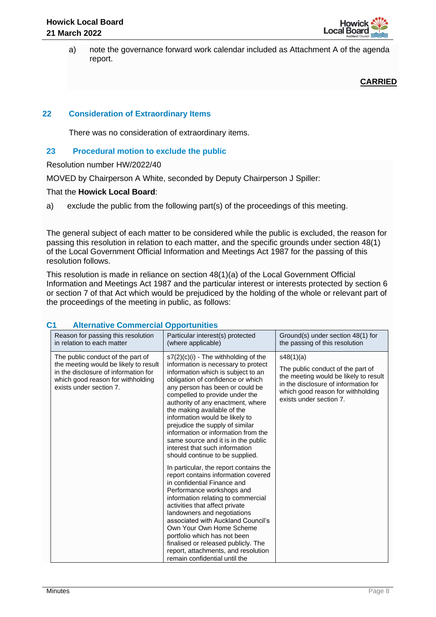

a) note the governance forward work calendar included as Attachment A of the agenda report.

**CARRIED**

# **22 Consideration of Extraordinary Items**

There was no consideration of extraordinary items.

## **23 Procedural motion to exclude the public**

Resolution number HW/2022/40

MOVED by Chairperson A White, seconded by Deputy Chairperson J Spiller:

## That the **Howick Local Board**:

a) exclude the public from the following part(s) of the proceedings of this meeting.

The general subject of each matter to be considered while the public is excluded, the reason for passing this resolution in relation to each matter, and the specific grounds under section 48(1) of the Local Government Official Information and Meetings Act 1987 for the passing of this resolution follows.

This resolution is made in reliance on section 48(1)(a) of the Local Government Official Information and Meetings Act 1987 and the particular interest or interests protected by section 6 or section 7 of that Act which would be prejudiced by the holding of the whole or relevant part of the proceedings of the meeting in public, as follows:

| Reason for passing this resolution<br>in relation to each matter                                                                                                                   | Particular interest(s) protected<br>(where applicable)                                                                                                                                                                                                                                                                                                                                                                                                                                                                    | Ground(s) under section 48(1) for<br>the passing of this resolution                                                                                                                             |
|------------------------------------------------------------------------------------------------------------------------------------------------------------------------------------|---------------------------------------------------------------------------------------------------------------------------------------------------------------------------------------------------------------------------------------------------------------------------------------------------------------------------------------------------------------------------------------------------------------------------------------------------------------------------------------------------------------------------|-------------------------------------------------------------------------------------------------------------------------------------------------------------------------------------------------|
| The public conduct of the part of<br>the meeting would be likely to result<br>in the disclosure of information for<br>which good reason for withholding<br>exists under section 7. | $s7(2)(c)(i)$ - The withholding of the<br>information is necessary to protect<br>information which is subject to an<br>obligation of confidence or which<br>any person has been or could be<br>compelled to provide under the<br>authority of any enactment, where<br>the making available of the<br>information would be likely to<br>prejudice the supply of similar<br>information or information from the<br>same source and it is in the public<br>interest that such information<br>should continue to be supplied. | s48(1)(a)<br>The public conduct of the part of<br>the meeting would be likely to result<br>in the disclosure of information for<br>which good reason for withholding<br>exists under section 7. |
|                                                                                                                                                                                    | In particular, the report contains the<br>report contains information covered<br>in confidential Finance and<br>Performance workshops and<br>information relating to commercial<br>activities that affect private<br>landowners and negotiations<br>associated with Auckland Council's<br>Own Your Own Home Scheme<br>portfolio which has not been<br>finalised or released publicly. The<br>report, attachments, and resolution<br>remain confidential until the                                                         |                                                                                                                                                                                                 |

# **C1 Alternative Commercial Opportunities**